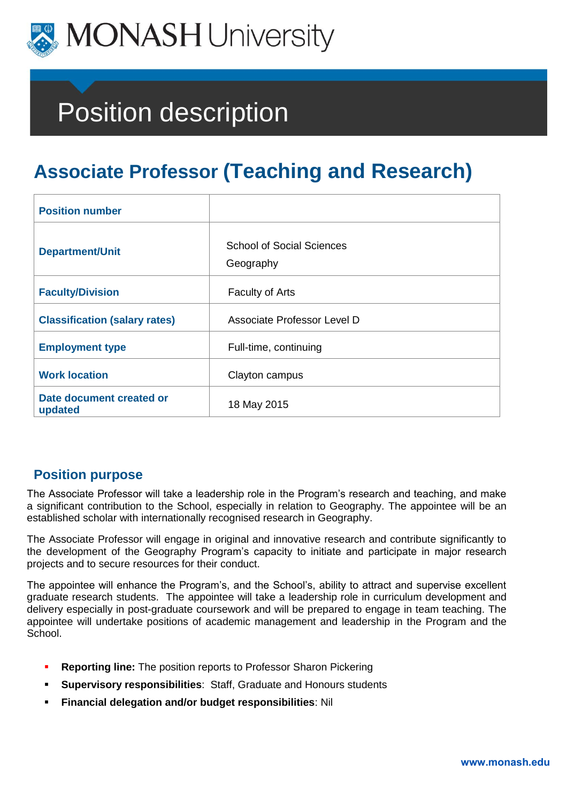

# Position description

# **Associate Professor (Teaching and Research)**

| <b>Position number</b>               |                                               |
|--------------------------------------|-----------------------------------------------|
| <b>Department/Unit</b>               | <b>School of Social Sciences</b><br>Geography |
| <b>Faculty/Division</b>              | <b>Faculty of Arts</b>                        |
| <b>Classification (salary rates)</b> | Associate Professor Level D                   |
| <b>Employment type</b>               | Full-time, continuing                         |
| <b>Work location</b>                 | Clayton campus                                |
| Date document created or<br>updated  | 18 May 2015                                   |

# **Position purpose**

The Associate Professor will take a leadership role in the Program's research and teaching, and make a significant contribution to the School, especially in relation to Geography. The appointee will be an established scholar with internationally recognised research in Geography.

The Associate Professor will engage in original and innovative research and contribute significantly to the development of the Geography Program's capacity to initiate and participate in major research projects and to secure resources for their conduct.

The appointee will enhance the Program's, and the School's, ability to attract and supervise excellent graduate research students. The appointee will take a leadership role in curriculum development and delivery especially in post-graduate coursework and will be prepared to engage in team teaching. The appointee will undertake positions of academic management and leadership in the Program and the School.

- **Reporting line:** The position reports to Professor Sharon Pickering
- **Supervisory responsibilities**: Staff, Graduate and Honours students
- **Financial delegation and/or budget responsibilities**: Nil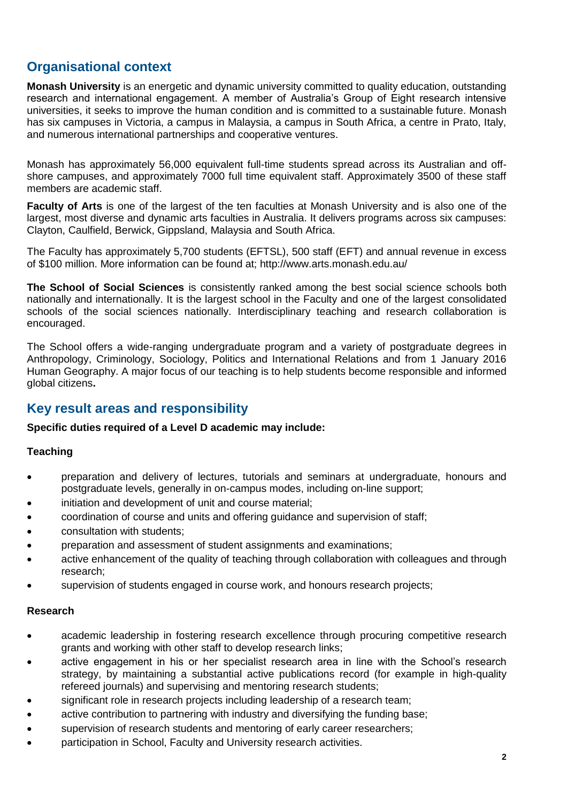# **Organisational context**

**Monash University** is an energetic and dynamic university committed to quality education, outstanding research and international engagement. A member of Australia's Group of Eight research intensive universities, it seeks to improve the human condition and is committed to a sustainable future. Monash has six campuses in Victoria, a campus in Malaysia, a campus in South Africa, a centre in Prato, Italy, and numerous international partnerships and cooperative ventures.

Monash has approximately 56,000 equivalent full-time students spread across its Australian and offshore campuses, and approximately 7000 full time equivalent staff. Approximately 3500 of these staff members are academic staff.

**Faculty of Arts** is one of the largest of the ten faculties at Monash University and is also one of the largest, most diverse and dynamic arts faculties in Australia. It delivers programs across six campuses: Clayton, Caulfield, Berwick, Gippsland, Malaysia and South Africa.

The Faculty has approximately 5,700 students (EFTSL), 500 staff (EFT) and annual revenue in excess of \$100 million. More information can be found at; http://www.arts.monash.edu.au/

**The School of Social Sciences** is consistently ranked among the best social science schools both nationally and internationally. It is the largest school in the Faculty and one of the largest consolidated schools of the social sciences nationally. Interdisciplinary teaching and research collaboration is encouraged.

The School offers a wide-ranging undergraduate program and a variety of postgraduate degrees in Anthropology, Criminology, Sociology, Politics and International Relations and from 1 January 2016 Human Geography. A major focus of our teaching is to help students become responsible and informed global citizens**.**

# **Key result areas and responsibility**

#### **Specific duties required of a Level D academic may include:**

#### **Teaching**

- preparation and delivery of lectures, tutorials and seminars at undergraduate, honours and postgraduate levels, generally in on-campus modes, including on-line support;
- initiation and development of unit and course material;
- coordination of course and units and offering guidance and supervision of staff;
- consultation with students;
- preparation and assessment of student assignments and examinations;
- active enhancement of the quality of teaching through collaboration with colleagues and through research;
- supervision of students engaged in course work, and honours research projects;

#### **Research**

- academic leadership in fostering research excellence through procuring competitive research grants and working with other staff to develop research links;
- active engagement in his or her specialist research area in line with the School's research strategy, by maintaining a substantial active publications record (for example in high-quality refereed journals) and supervising and mentoring research students;
- significant role in research projects including leadership of a research team;
- active contribution to partnering with industry and diversifying the funding base;
- supervision of research students and mentoring of early career researchers;
- participation in School, Faculty and University research activities.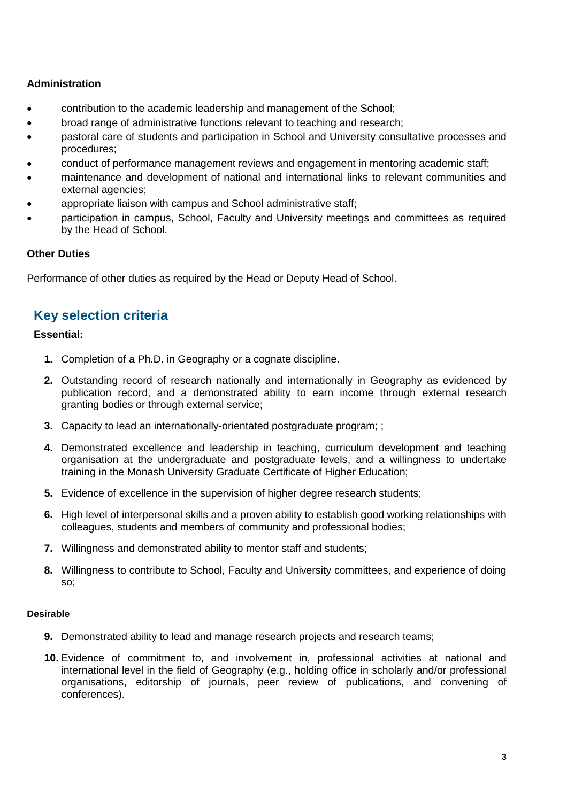#### **Administration**

- contribution to the academic leadership and management of the School;
- broad range of administrative functions relevant to teaching and research;
- pastoral care of students and participation in School and University consultative processes and procedures;
- conduct of performance management reviews and engagement in mentoring academic staff;
- maintenance and development of national and international links to relevant communities and external agencies;
- appropriate liaison with campus and School administrative staff;
- participation in campus, School, Faculty and University meetings and committees as required by the Head of School.

#### **Other Duties**

Performance of other duties as required by the Head or Deputy Head of School.

# **Key selection criteria**

#### **Essential:**

- **1.** Completion of a Ph.D. in Geography or a cognate discipline.
- **2.** Outstanding record of research nationally and internationally in Geography as evidenced by publication record, and a demonstrated ability to earn income through external research granting bodies or through external service;
- **3.** Capacity to lead an internationally-orientated postgraduate program; ;
- **4.** Demonstrated excellence and leadership in teaching, curriculum development and teaching organisation at the undergraduate and postgraduate levels, and a willingness to undertake training in the Monash University Graduate Certificate of Higher Education;
- **5.** Evidence of excellence in the supervision of higher degree research students;
- **6.** High level of interpersonal skills and a proven ability to establish good working relationships with colleagues, students and members of community and professional bodies;
- **7.** Willingness and demonstrated ability to mentor staff and students;
- **8.** Willingness to contribute to School, Faculty and University committees, and experience of doing so;

#### **Desirable**

- **9.** Demonstrated ability to lead and manage research projects and research teams;
- **10.** Evidence of commitment to, and involvement in, professional activities at national and international level in the field of Geography (e.g., holding office in scholarly and/or professional organisations, editorship of journals, peer review of publications, and convening of conferences).